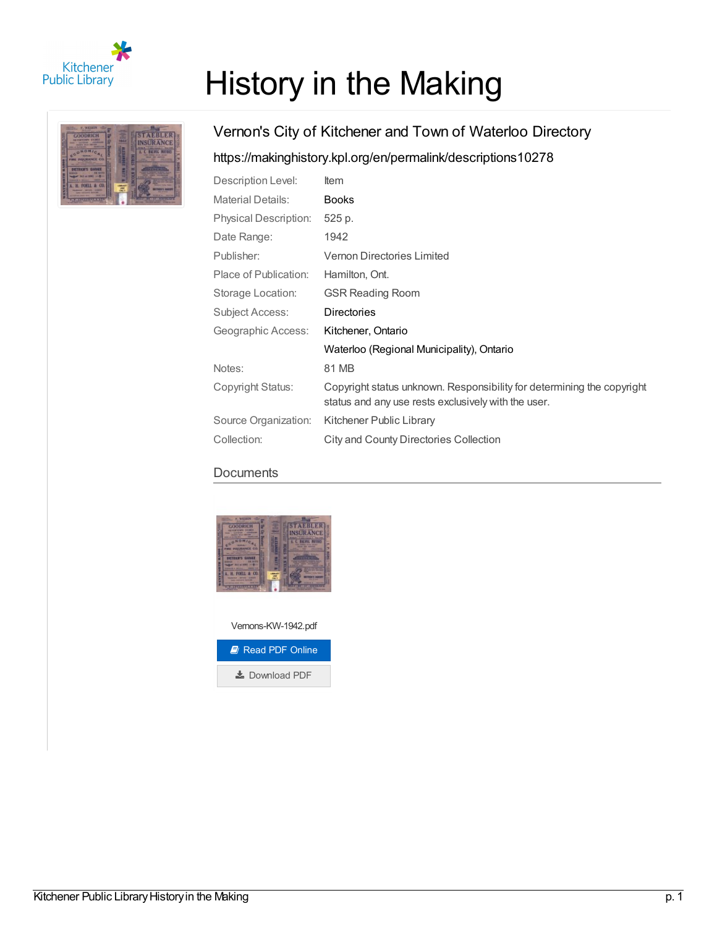

# History in the Making



## Vernon's City of Kitchener and Town of Waterloo Directory <https://makinghistory.kpl.org/en/permalink/descriptions10278>

| Description Level:           | Item                                                                                                                          |
|------------------------------|-------------------------------------------------------------------------------------------------------------------------------|
| <b>Material Details:</b>     | <b>Books</b>                                                                                                                  |
| <b>Physical Description:</b> | 525 p.                                                                                                                        |
| Date Range:                  | 1942                                                                                                                          |
| Publisher:                   | <b>Vernon Directories Limited</b>                                                                                             |
| Place of Publication:        | Hamilton, Ont.                                                                                                                |
| Storage Location:            | <b>GSR Reading Room</b>                                                                                                       |
| Subject Access:              | <b>Directories</b>                                                                                                            |
| Geographic Access:           | Kitchener, Ontario                                                                                                            |
|                              | Waterloo (Regional Municipality), Ontario                                                                                     |
| Notes:                       | 81 MB                                                                                                                         |
| Copyright Status:            | Copyright status unknown. Responsibility for determining the copyright<br>status and any use rests exclusively with the user. |
| Source Organization:         | Kitchener Public Library                                                                                                      |
| Collection:                  | <b>City and County Directories Collection</b>                                                                                 |

## **Documents**



Vernons-KW-1942.pdf *D* Read PDF [Online](https://makinghistory.kpl.org/en/viewer?file=%252fmedia%252fDirectories%252fVernons-KW-1942.pdf#phrase=false&pagemode=bookmarks)